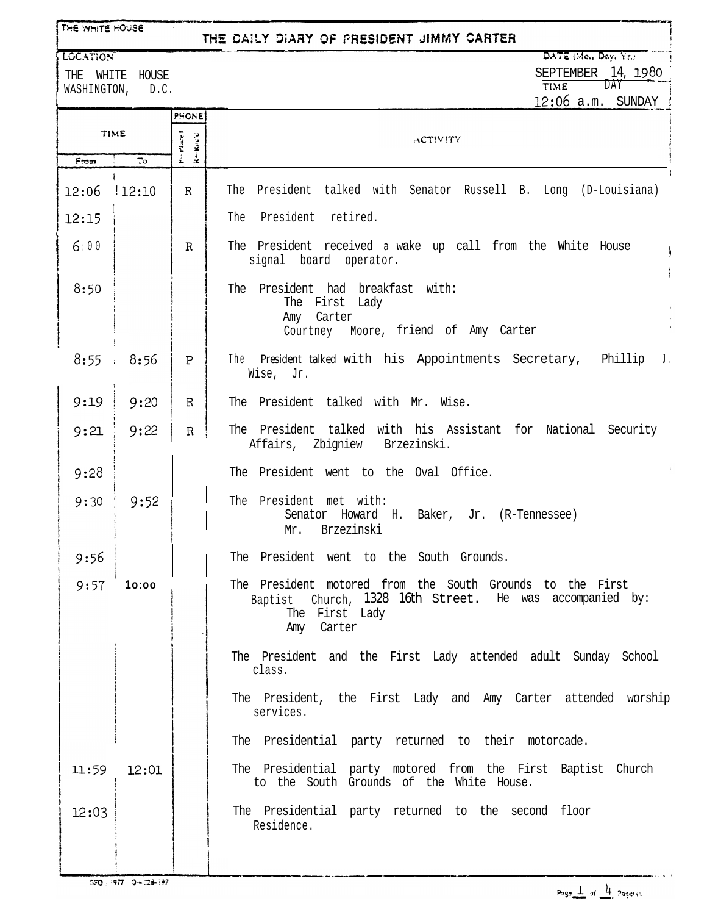| THE WHITE HOUSE<br>THE DAILY DIARY OF PRESIDENT JIMMY CARTER |                  |                                                   |                                                                                                                                                       |  |  |  |
|--------------------------------------------------------------|------------------|---------------------------------------------------|-------------------------------------------------------------------------------------------------------------------------------------------------------|--|--|--|
| <b>LOCATION</b>                                              | THE WHITE HOUSE  |                                                   | DATE (Me., Day, Yr.)<br>SEPTEMBER 14, 1980                                                                                                            |  |  |  |
|                                                              | WASHINGTON, D.C. |                                                   | <b>DAY</b><br><b>TIME</b><br>$12:06$ a.m. SUNDAY                                                                                                      |  |  |  |
| <b>TIME</b>                                                  |                  | <b>PHONE</b><br>P-Placed<br>Rec'd<br>$\mathbf{z}$ | <b>ACTIVITY</b>                                                                                                                                       |  |  |  |
| From                                                         | To               |                                                   |                                                                                                                                                       |  |  |  |
| 12:06                                                        | :12:10           | R                                                 | The President talked with Senator Russell B. Long (D-Louisiana)                                                                                       |  |  |  |
| 12:15                                                        |                  |                                                   | The President retired.                                                                                                                                |  |  |  |
| 6:00                                                         |                  | $\mathbf R$                                       | The President received a wake up call from the White House<br>signal board operator.                                                                  |  |  |  |
| 8:50                                                         |                  |                                                   | The President had breakfast with:<br>The First Lady<br>Carter<br>Amy<br>Courtney Moore, friend of Amy Carter                                          |  |  |  |
|                                                              | 8:55 : 8:56      | P                                                 | The President talked with his Appointments Secretary, Phillip J.<br>Wise, Jr.                                                                         |  |  |  |
| 9:19                                                         | 9:20             | $\mathbb R$                                       | The President talked with Mr. Wise.                                                                                                                   |  |  |  |
| 9:21                                                         | 9:22             | $\mathbb R$                                       | The President talked with his Assistant for National Security<br>Affairs, Zbigniew Brzezinski.                                                        |  |  |  |
| 9:28                                                         |                  |                                                   | The President went to the Oval Office.                                                                                                                |  |  |  |
| 9:30                                                         | 9:52             |                                                   | The President met with:<br>Senator Howard H. Baker, Jr. (R-Tennessee)<br>Mr. Brzezinski                                                               |  |  |  |
| 9:56                                                         |                  |                                                   | The President went to the South Grounds.                                                                                                              |  |  |  |
| 9:57                                                         | 10:00            |                                                   | The President motored from the South Grounds to the First<br>Baptist Church, 1328 16th Street. He was accompanied by:<br>The First Lady<br>Amy Carter |  |  |  |
|                                                              |                  |                                                   | The President and the First Lady attended adult Sunday School<br>class.                                                                               |  |  |  |
|                                                              |                  |                                                   | The President, the First Lady and Amy Carter attended worship<br>services.                                                                            |  |  |  |
|                                                              |                  |                                                   | The Presidential party returned to their motorcade.                                                                                                   |  |  |  |
| 11:59                                                        | 12:01            |                                                   | The Presidential party motored from the First Baptist Church<br>to the South Grounds of the White House.                                              |  |  |  |
| 12:03                                                        |                  |                                                   | The Presidential party returned to the second floor<br>Residence.                                                                                     |  |  |  |
|                                                              |                  |                                                   |                                                                                                                                                       |  |  |  |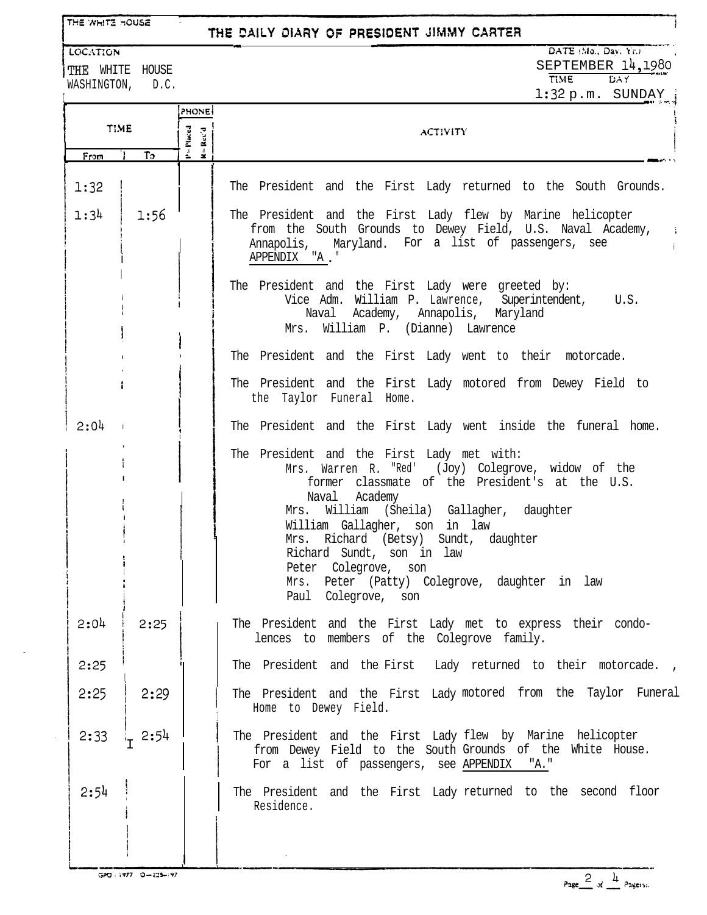THE WHITE HOUSE

### THE DAILY DIARY OF PRESIDENT JIMMY CARTER

**LOCATION** 

WASHINGTON, D.C.

**LII**

# DATE (Mo., Day, Yr.)

THE WHITE HOUSE SEPTEMBER  $14, 1980$ 

Ī

 $1:32 p.m.$  SUNDAY :

|             |         | PHONE                  |                                                                                                                                                                                                                                                                                                                                                                                                                         |  |  |
|-------------|---------|------------------------|-------------------------------------------------------------------------------------------------------------------------------------------------------------------------------------------------------------------------------------------------------------------------------------------------------------------------------------------------------------------------------------------------------------------------|--|--|
| <b>TIME</b> |         | $P = P$ laced<br>Rec'd | <b>ACTIVITY</b>                                                                                                                                                                                                                                                                                                                                                                                                         |  |  |
| From        | $T_{0}$ | $\approx$              |                                                                                                                                                                                                                                                                                                                                                                                                                         |  |  |
| 1:32        |         |                        | The President and the First Lady returned to the South Grounds.                                                                                                                                                                                                                                                                                                                                                         |  |  |
| 1:34        | 1:56    |                        | The President and the First Lady flew by Marine helicopter<br>from the South Grounds to Dewey Field, U.S. Naval Academy, i<br>Annapolis, Maryland. For a list of passengers, see<br>APPENDIX "A."                                                                                                                                                                                                                       |  |  |
|             |         |                        | The President and the First Lady were greeted by:<br>Vice Adm. William P. Lawrence, Superintendent,<br>U.S.<br>Naval Academy, Annapolis, Maryland<br>Mrs. William P. (Dianne) Lawrence                                                                                                                                                                                                                                  |  |  |
|             |         |                        | The President and the First Lady went to their motorcade.                                                                                                                                                                                                                                                                                                                                                               |  |  |
|             |         |                        | The President and the First Lady motored from Dewey Field to<br>the Taylor Funeral Home.                                                                                                                                                                                                                                                                                                                                |  |  |
| 2:04        |         |                        | The President and the First Lady went inside the funeral home.                                                                                                                                                                                                                                                                                                                                                          |  |  |
|             |         |                        | The President and the First Lady met with:<br>Mrs. Warren R. "Red' (Joy) Colegrove, widow of the<br>former classmate of the President's at the U.S.<br>Naval Academy<br>Mrs. William (Sheila) Gallagher, daughter<br>William Gallagher, son in law<br>Mrs. Richard (Betsy) Sundt, daughter<br>Richard Sundt, son in law<br>Peter Colegrove, son<br>Mrs. Peter (Patty) Colegrove, daughter in law<br>Paul Colegrove, son |  |  |
| 2:04        | 2:25    |                        | The President and the First Lady met to express their condo-<br>lences to members of the Colegrove family.                                                                                                                                                                                                                                                                                                              |  |  |
| 2:25        |         |                        | The President and the First Lady returned to their motorcade.,                                                                                                                                                                                                                                                                                                                                                          |  |  |
| 2:25        | 2:29    |                        | The President and the First Lady motored from the Taylor Funeral<br>Home to Dewey Field.                                                                                                                                                                                                                                                                                                                                |  |  |
| 2:33        | 2:54    |                        | The President and the First Lady flew by Marine helicopter<br>from Dewey Field to the South Grounds of the White House.<br>For a list of passengers, see APPENDIX<br>"A."                                                                                                                                                                                                                                               |  |  |
| 2:54        |         |                        | The President and the First Lady returned to the second floor<br>Residence.                                                                                                                                                                                                                                                                                                                                             |  |  |

GPO: 1977 0-229-197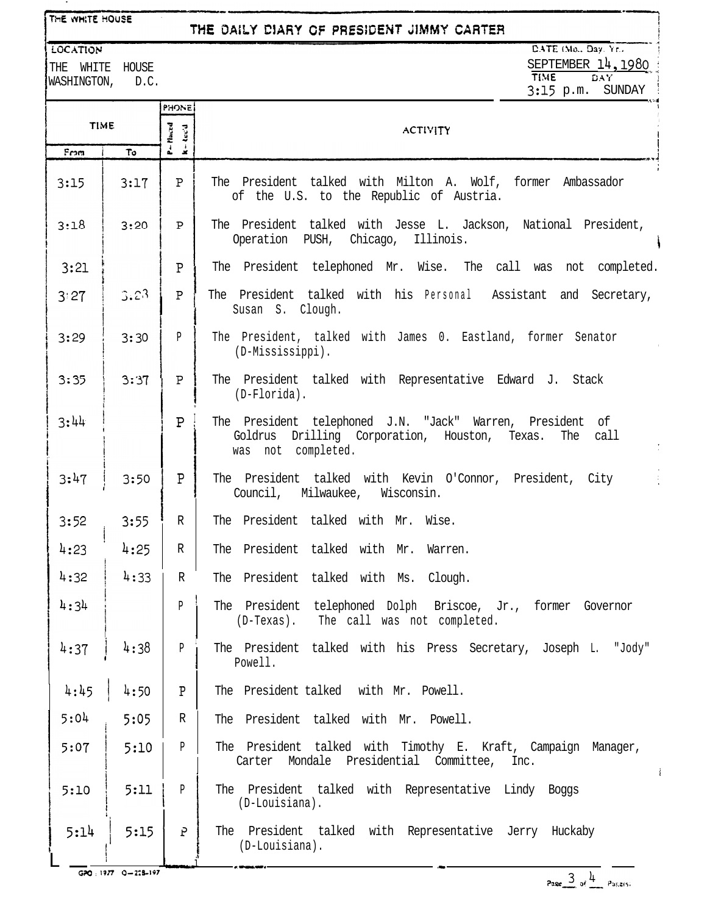#### THE WHITE HOUSE

**LOCATION** 

From

 $3:15$ 

 $3:18$ 

 $3:21$ f Indian and Indian and Indian and Indian and Indian and Indian and Indian and Indian and Indian and Indian  $|3:27$ 

 $3:44$ 

 $3:47$ 

 $4:32$ 

 $3:35$ 

 $3:29$ 

**I**

i<br>!

i

 $\, {\bf P}$ 

**PHONE** 

Pluced<br>Rec'd

- 2

 $\, {\bf P}$ 

 $P$ 

 $\Delta$ 

 $P$ 

I?

### THE DAILY DIARY OF PRESIDENT JIMMY CARTER

DATE (Mo., Dav. Yr., SEPTEMBER  $14, 1980$ <br>TIME DAY  $DAY$ 

THE WHITE HOUSE WASHINGTON, D.C.

**TIME** 

 $\overline{\tau_0}$ 

 $3:17$ 

 $3:20$ 

 $3.23$ 

 $3:30$ 

 $3:37$ 

 $3:50$ 

3:15 p.m. SUNDAY . + :,a\ ACTIVITY <sup>i</sup> au\* The President talked with Milton A. Wolf, former Ambassador of the U.S. to the Republic of Austria. The President talked with Jesse L. Jackson, National President, ' Operation PUSH, Chicago, Illinois. i I The President telephoned Mr. Wise. The call was not completed. P 1 The President talked with his Personal Assistant and Secretary, I Susan S. Clough. P The President, talked with James 0. Eastland, former Senator (D-Mississippi). . P The President talked with Representative Edward J. Stack ! (D-Florida). The President telephoned J.N. "Jack" Warren, President of I. I I Goldrus Drilling Corporation, Houston, Texas. The call was not completed. The President talked with Kevin O'Connor, President, City Council, Milwaukee, Wisconsin.

3:52 R 3:55 The President talked with Mr. Wise.

4:23 R  $4:25$ The President talked with Mr. Warren.

 $4:33$ R The President talked with Ms. Clough.

 $4:34$ P ! The President telephoned Dolph Briscoe, Jr., former Governor (D-Texas). The call was not completed.

P  $4:37$  4:38 The President talked with his Press Secretary, Joseph L. "Jody" Powell.

P  $4:45$   $4:50$ The President talked with Mr. Powell.

 $5:04$ 5:05 R The President talked with Mr. Powell.

The President talked with Timothy E. Kraft, Campaign Manager,  $5:07$ 5:lO P Carter Mondale Presidential Committee, Inc.

 $5:11$ The President talked with Representative Lindy Boggs  $5:10$ P (D-Louisiana).

P .<br>Italian menye  $5:14$  /  $5:15$ The President talked with Representative Jerry Huckaby <sup>I</sup> (D-Louisiana).

GPO: 1977 0-228-197

 $\mathbf{I}$ 

**i**